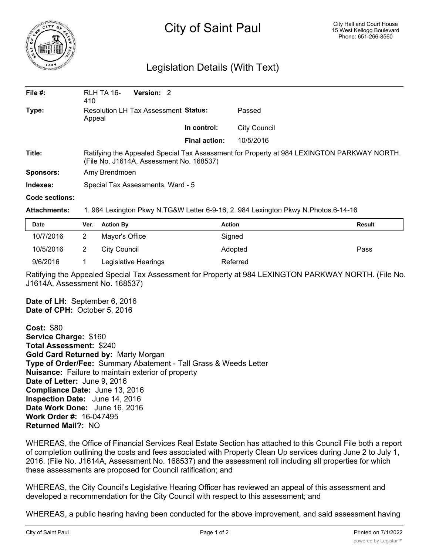

## City of Saint Paul

## Legislation Details (With Text)

| File $#$ :     | RLH TA 16-<br>410                                                                                                                      | <b>Version: 2</b> |                      |                     |  |  |
|----------------|----------------------------------------------------------------------------------------------------------------------------------------|-------------------|----------------------|---------------------|--|--|
| Type:          | <b>Resolution LH Tax Assessment Status:</b><br>Appeal                                                                                  |                   |                      | Passed              |  |  |
|                |                                                                                                                                        |                   | In control:          | <b>City Council</b> |  |  |
|                |                                                                                                                                        |                   | <b>Final action:</b> | 10/5/2016           |  |  |
| Title:         | Ratifying the Appealed Special Tax Assessment for Property at 984 LEXINGTON PARKWAY NORTH.<br>(File No. J1614A, Assessment No. 168537) |                   |                      |                     |  |  |
| Sponsors:      | Amy Brendmoen                                                                                                                          |                   |                      |                     |  |  |
| Indexes:       | Special Tax Assessments, Ward - 5                                                                                                      |                   |                      |                     |  |  |
| Code sections: |                                                                                                                                        |                   |                      |                     |  |  |

**Attachments:** 1. 984 Lexington Pkwy N.TG&W Letter 6-9-16, 2. 984 Lexington Pkwy N.Photos.6-14-16

| <b>Date</b> | Ver. Action By       | <b>Action</b> | Result |
|-------------|----------------------|---------------|--------|
| 10/7/2016   | Mayor's Office       | Signed        |        |
| 10/5/2016   | City Council         | Adopted       | Pass   |
| 9/6/2016    | Legislative Hearings | Referred      |        |

Ratifying the Appealed Special Tax Assessment for Property at 984 LEXINGTON PARKWAY NORTH. (File No. J1614A, Assessment No. 168537)

**Date of LH:** September 6, 2016 **Date of CPH:** October 5, 2016

**Cost:** \$80 **Service Charge:** \$160 **Total Assessment:** \$240 **Gold Card Returned by:** Marty Morgan **Type of Order/Fee:** Summary Abatement - Tall Grass & Weeds Letter **Nuisance:** Failure to maintain exterior of property **Date of Letter:** June 9, 2016 **Compliance Date:** June 13, 2016 **Inspection Date:** June 14, 2016 **Date Work Done:** June 16, 2016 **Work Order #:** 16-047495 **Returned Mail?:** NO

WHEREAS, the Office of Financial Services Real Estate Section has attached to this Council File both a report of completion outlining the costs and fees associated with Property Clean Up services during June 2 to July 1, 2016. (File No. J1614A, Assessment No. 168537) and the assessment roll including all properties for which these assessments are proposed for Council ratification; and

WHEREAS, the City Council's Legislative Hearing Officer has reviewed an appeal of this assessment and developed a recommendation for the City Council with respect to this assessment; and

WHEREAS, a public hearing having been conducted for the above improvement, and said assessment having